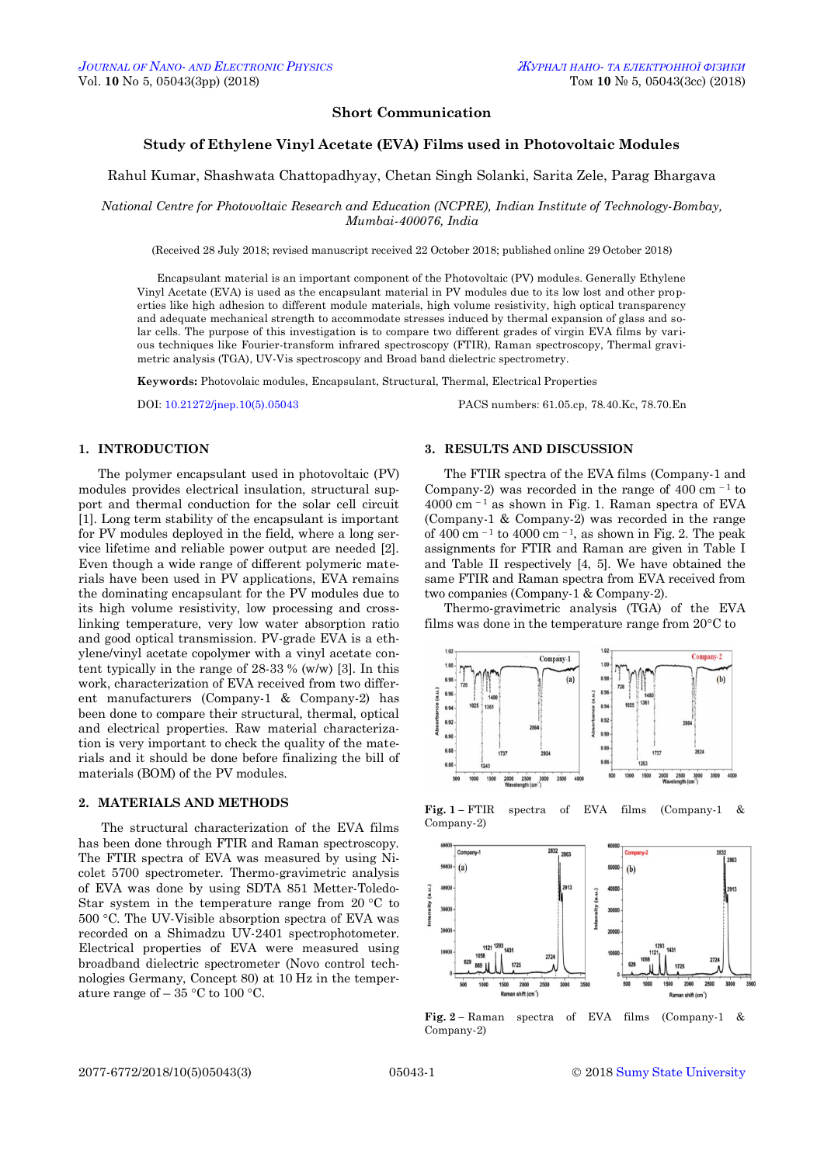# **Short Communication**

# **Study of Ethylene Vinyl Acetate (EVA) Films used in Photovoltaic Modules**

# Rahul Kumar, Shashwata Chattopadhyay, Chetan Singh Solanki, Sarita Zele, Parag Bhargava

*National Centre for Photovoltaic Research and Education (NCPRE), Indian Institute of Technology-Bombay, Mumbai-400076, India*

(Received 28 July 2018; revised manuscript received 22 October 2018; published online 29 October 2018)

Encapsulant material is an important component of the Photovoltaic (PV) modules. Generally Ethylene Vinyl Acetate (EVA) is used as the encapsulant material in PV modules due to its low lost and other properties like high adhesion to different module materials, high volume resistivity, high optical transparency and adequate mechanical strength to accommodate stresses induced by thermal expansion of glass and solar cells. The purpose of this investigation is to compare two different grades of virgin EVA films by various techniques like Fourier-transform infrared spectroscopy (FTIR), Raman spectroscopy, Thermal gravimetric analysis (TGA), UV-Vis spectroscopy and Broad band dielectric spectrometry.

**Keywords:** Photovolaic modules, Encapsulant, Structural, Thermal, Electrical Properties

DOI: [10.21272/jnep.10\(5\).05043](https://doi.org/10.21272/jnep.10(5).05043) PACS numbers: 61.05.cp, 78.40.Kc, 78.70.En

### **1. INTRODUCTION**

The polymer encapsulant used in photovoltaic (PV) modules provides electrical insulation, structural support and thermal conduction for the solar cell circuit [1]. Long term stability of the encapsulant is important for PV modules deployed in the field, where a long service lifetime and reliable power output are needed [2]. Even though a wide range of different polymeric materials have been used in PV applications, EVA remains the dominating encapsulant for the PV modules due to its high volume resistivity, low processing and crosslinking temperature, very low water absorption ratio and good optical transmission. PV-grade EVA is a ethylene/vinyl acetate copolymer with a vinyl acetate content typically in the range of 28-33 % (w/w) [3]. In this work, characterization of EVA received from two different manufacturers (Company-1 & Company-2) has been done to compare their structural, thermal, optical and electrical properties. Raw material characterization is very important to check the quality of the materials and it should be done before finalizing the bill of materials (BOM) of the PV modules.

#### **2. MATERIALS AND METHODS**

<span id="page-0-3"></span><span id="page-0-0"></span>The structural characterization of the EVA films has been done through FTIR and Raman spectroscopy. The FTIR spectra of EVA was measured by using Nicolet 5700 spectrometer. Thermo-gravimetric analysis of EVA was done by using SDTA 851 Metter-Toledo-Star system in the temperature range from 20  $\degree$ C to 500 C. The UV-Visible absorption spectra of EVA was recorded on a Shimadzu UV-2401 spectrophotometer. Electrical properties of EVA were measured using broadband dielectric spectrometer (Novo control technologies Germany, Concept 80) at 10 Hz in the temperature range of  $-35$  °C to 100 °C.

# **3. RESULTS AND DISCUSSION**

The FTIR spectra of the EVA films (Company-1 and Company-2) was recorded in the range of  $400 \text{ cm}^{-1}$  to  $4000$  cm  $^{-1}$  as shown in Fig. 1. Raman spectra of EVA (Company-1 & Company-2) was recorded in the range of 400 cm  $^{-1}$  to 4000 cm  $^{-1}$ , as shown in Fig. 2. The peak assignments for FTIR and Raman are given in Table I and Table II respectively [4, 5]. We have obtained the same FTIR and Raman spectra from EVA received from two companies (Company-1 & Company-2).

Thermo-gravimetric analysis (TGA) of the EVA films was done in the temperature range from  $20^{\circ}$ C to



**Fig. 1 –** FTIR spectra of EVA films (Company-1 & Company-2)



<span id="page-0-2"></span><span id="page-0-1"></span>**Fig. 2 –** Raman spectra of EVA films (Company-1 & Company-2)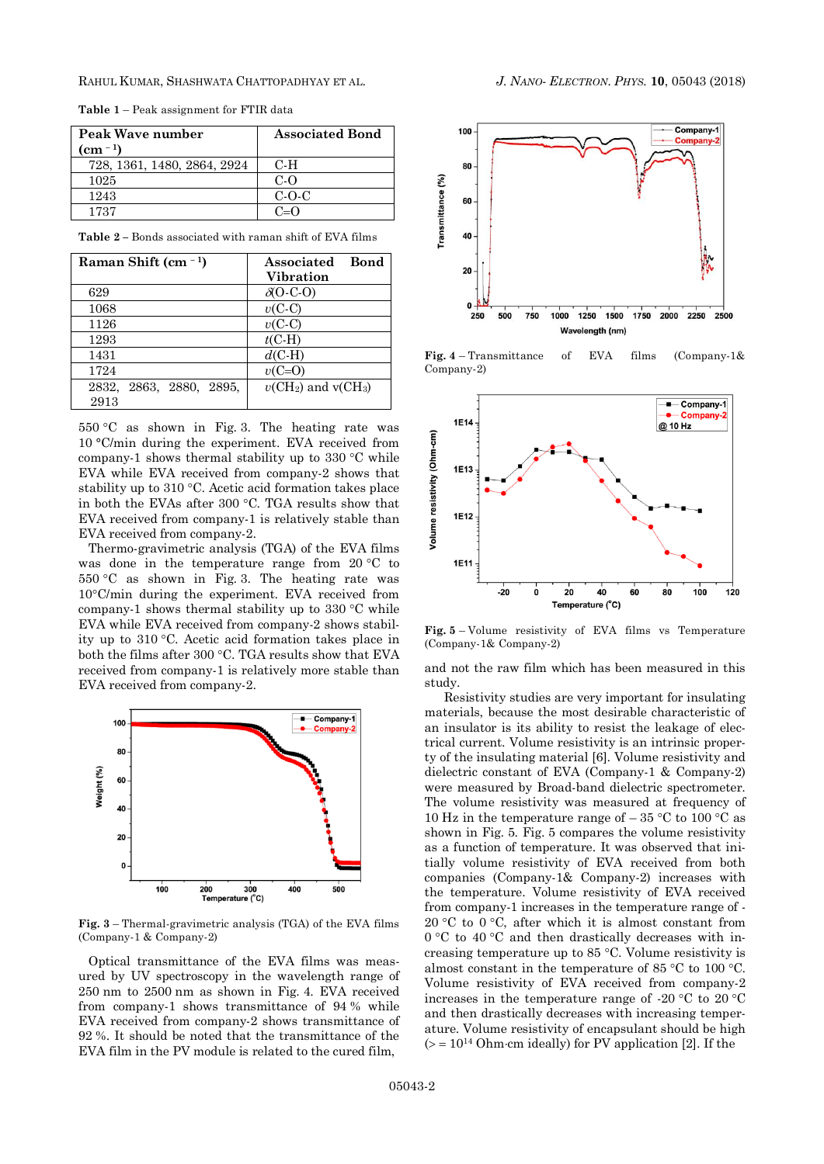RAHUL KUMAR, SHASHWATA CHATTOPADHYAY ET AL. *J. NANO- ELECTRON. PHYS.* **[10](#page-0-2)**, [05043](#page-0-2) [\(2018\)](#page-0-2)

| Peak Wave number            | <b>Associated Bond</b> |
|-----------------------------|------------------------|
| $(cm - 1)$                  |                        |
| 728, 1361, 1480, 2864, 2924 | $C-H$                  |
| 1025                        | $C-\Omega$             |
| 1243                        | $C$ -O-C               |
| 1737                        | $C-\Omega$             |

**Table 1** – Peak assignment for FTIR data

**Table 2 –** Bonds associated with raman shift of EVA films

| Raman Shift (cm $^{-1}$ )  | Bond<br>Associated<br>Vibration                |
|----------------------------|------------------------------------------------|
| 629                        | $\delta$ (O-C-O)                               |
| 1068                       | $v(C-C)$                                       |
| 1126                       | $v(C-C)$                                       |
| 1293                       | $t$ (C-H)                                      |
| 1431                       | $d$ (C-H)                                      |
| 1724                       | $v(C=O)$                                       |
| 2863, 2880, 2895,<br>2832, | $v$ (CH <sub>2</sub> ) and v(CH <sub>3</sub> ) |
| 2913                       |                                                |

550 C as shown in Fig. 3. The heating rate was 10 °C/min during the experiment. EVA received from company-1 shows thermal stability up to  $330^{\circ}$ C while EVA while EVA received from company-2 shows that stability up to  $310 \degree C$ . Acetic acid formation takes place in both the EVAs after 300 °C. TGA results show that EVA received from company-1 is relatively stable than EVA received from company-2.

Thermo-gravimetric analysis (TGA) of the EVA films was done in the temperature range from  $20 °C$  to  $550 \, \degree$ C as shown in Fig. 3. The heating rate was  $10^{\circ}$ C/min during the experiment. EVA received from company-1 shows thermal stability up to  $330^{\circ}$ C while EVA while EVA received from company-2 shows stability up to 310 C. Acetic acid formation takes place in both the films after 300  $\degree$ C. TGA results show that EVA received from company-1 is relatively more stable than EVA received from company-2.



**Fig. 3** – Thermal-gravimetric analysis (TGA) of the EVA films (Company-1 & Company-2)

Optical transmittance of the EVA films was measured by UV spectroscopy in the wavelength range of 250 nm to 2500 nm as shown in Fig. 4. EVA received from company-1 shows transmittance of 94 % while EVA received from company-2 shows transmittance of 92 %. It should be noted that the transmittance of the EVA film in the PV module is related to the cured film,



**Fig. 4** – Transmittance of EVA films (Company-1& Company-2)



**Fig. 5** – Volume resistivity of EVA films vs Temperature (Company-1& Company-2)

and not the raw film which has been measured in this study.

Resistivity studies are very important for insulating materials, because the most desirable characteristic of an insulator is its ability to resist the leakage of electrical current. Volume resistivity is an intrinsic property of the insulating material [6]. Volume resistivity and dielectric constant of EVA (Company-1 & Company-2) were measured by Broad-band dielectric spectrometer. The volume resistivity was measured at frequency of 10 Hz in the temperature range of  $-35$  °C to 100 °C as shown in Fig. 5. Fig. 5 compares the volume resistivity as a function of temperature. It was observed that initially volume resistivity of EVA received from both companies (Company-1& Company-2) increases with the temperature. Volume resistivity of EVA received from company-1 increases in the temperature range of - 20 °C to 0 °C, after which it is almost constant from  $0 °C$  to  $40 °C$  and then drastically decreases with increasing temperature up to  $85^{\circ}$ C. Volume resistivity is almost constant in the temperature of 85  $\degree$ C to 100  $\degree$ C. Volume resistivity of EVA received from company-2 increases in the temperature range of -20  $\mathrm{^{\circ}C}$  to 20  $\mathrm{^{\circ}C}$ and then drastically decreases with increasing temperature. Volume resistivity of encapsulant should be high  $(>= 10^{14} \text{ Ohm} \cdot \text{cm}$  ideally) for PV application [2]. If the